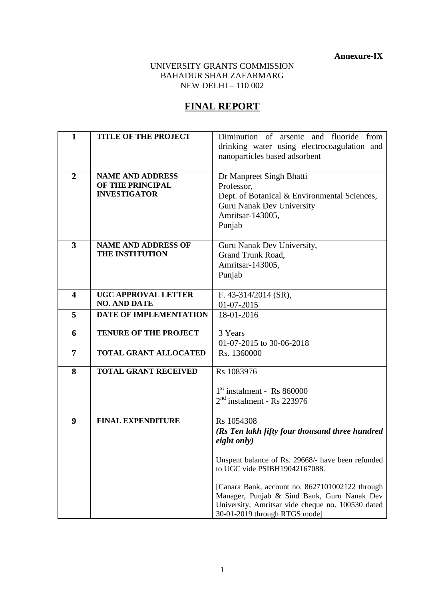**Annexure-IX**

## UNIVERSITY GRANTS COMMISSION BAHADUR SHAH ZAFARMARG NEW DELHI – 110 002

# **FINAL REPORT**

| $\mathbf{1}$            | <b>TITLE OF THE PROJECT</b>   | Diminution of arsenic and fluoride from           |
|-------------------------|-------------------------------|---------------------------------------------------|
|                         |                               | drinking water using electrocoagulation and       |
|                         |                               | nanoparticles based adsorbent                     |
|                         |                               |                                                   |
| $\overline{2}$          | <b>NAME AND ADDRESS</b>       | Dr Manpreet Singh Bhatti                          |
|                         | OF THE PRINCIPAL              | Professor,                                        |
|                         | <b>INVESTIGATOR</b>           | Dept. of Botanical & Environmental Sciences,      |
|                         |                               | <b>Guru Nanak Dev University</b>                  |
|                         |                               | Amritsar-143005,                                  |
|                         |                               | Punjab                                            |
|                         |                               |                                                   |
| $\overline{\mathbf{3}}$ | <b>NAME AND ADDRESS OF</b>    | Guru Nanak Dev University,                        |
|                         | THE INSTITUTION               | <b>Grand Trunk Road,</b>                          |
|                         |                               | Amritsar-143005,                                  |
|                         |                               | Punjab                                            |
| 4                       | <b>UGC APPROVAL LETTER</b>    | F. $43-314/2014$ (SR),                            |
|                         | <b>NO. AND DATE</b>           | 01-07-2015                                        |
| 5                       | <b>DATE OF IMPLEMENTATION</b> | 18-01-2016                                        |
|                         |                               |                                                   |
| 6                       | <b>TENURE OF THE PROJECT</b>  | 3 Years                                           |
|                         |                               | 01-07-2015 to 30-06-2018                          |
| $\overline{7}$          | <b>TOTAL GRANT ALLOCATED</b>  | Rs. 1360000                                       |
| 8                       | <b>TOTAL GRANT RECEIVED</b>   | Rs 1083976                                        |
|                         |                               |                                                   |
|                         |                               | $1st$ instalment - Rs 860000                      |
|                         |                               | $2nd$ instalment - Rs 223976                      |
|                         |                               |                                                   |
| 9                       | <b>FINAL EXPENDITURE</b>      | Rs 1054308                                        |
|                         |                               | (Rs Ten lakh fifty four thousand three hundred    |
|                         |                               | eight only)                                       |
|                         |                               |                                                   |
|                         |                               | Unspent balance of Rs. 29668/- have been refunded |
|                         |                               | to UGC vide PSIBH19042167088.                     |
|                         |                               | [Canara Bank, account no. 8627101002122 through   |
|                         |                               | Manager, Punjab & Sind Bank, Guru Nanak Dev       |
|                         |                               | University, Amritsar vide cheque no. 100530 dated |
|                         |                               | 30-01-2019 through RTGS mode]                     |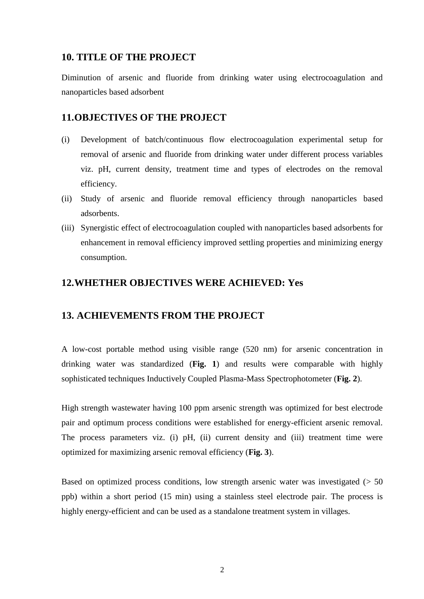## **10. TITLE OF THE PROJECT**

Diminution of arsenic and fluoride from drinking water using electrocoagulation and nanoparticles based adsorbent

## **11.OBJECTIVES OF THE PROJECT**

- (i) Development of batch/continuous flow electrocoagulation experimental setup for removal of arsenic and fluoride from drinking water under different process variables viz. pH, current density, treatment time and types of electrodes on the removal efficiency.
- (ii) Study of arsenic and fluoride removal efficiency through nanoparticles based adsorbents.
- (iii) Synergistic effect of electrocoagulation coupled with nanoparticles based adsorbents for enhancement in removal efficiency improved settling properties and minimizing energy consumption.

## **12.WHETHER OBJECTIVES WERE ACHIEVED: Yes**

## **13. ACHIEVEMENTS FROM THE PROJECT**

A low-cost portable method using visible range (520 nm) for arsenic concentration in drinking water was standardized (**Fig. 1**) and results were comparable with highly sophisticated techniques Inductively Coupled Plasma-Mass Spectrophotometer (**Fig. 2**).

High strength wastewater having 100 ppm arsenic strength was optimized for best electrode pair and optimum process conditions were established for energy-efficient arsenic removal. The process parameters viz. (i) pH, (ii) current density and (iii) treatment time were optimized for maximizing arsenic removal efficiency (**Fig. 3**).

Based on optimized process conditions, low strength arsenic water was investigated  $(> 50$ ppb) within a short period (15 min) using a stainless steel electrode pair. The process is highly energy-efficient and can be used as a standalone treatment system in villages.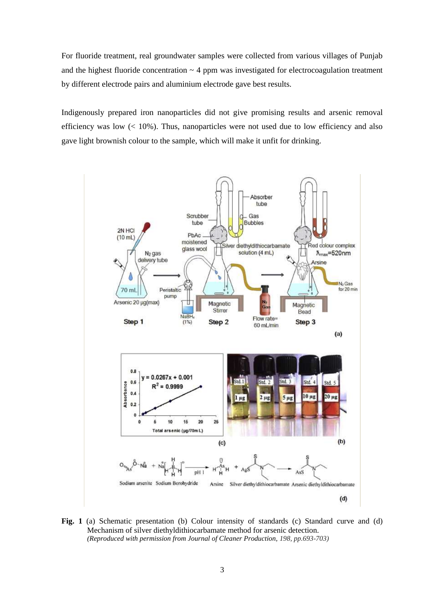For fluoride treatment, real groundwater samples were collected from various villages of Punjab and the highest fluoride concentration  $\sim$  4 ppm was investigated for electrocoagulation treatment by different electrode pairs and aluminium electrode gave best results.

Indigenously prepared iron nanoparticles did not give promising results and arsenic removal efficiency was low  $\left($  < 10%). Thus, nanoparticles were not used due to low efficiency and also gave light brownish colour to the sample, which will make it unfit for drinking.



Fig. 1 (a) Schematic presentation (b) Colour intensity of standards (c) Standard curve and (d) Mechanism of silver diethyldithiocarbamate method for arsenic detection. *(Reproduced with permission from Journal of Cleaner Production, 198, pp.693-703)*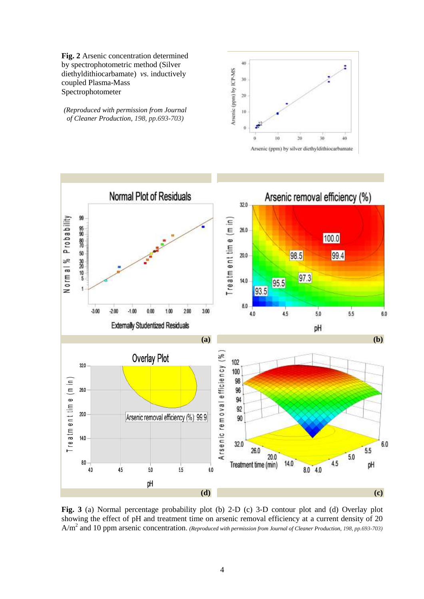**Fig. 2** Arsenic concentration determined by spectrophotometric method (Silver diethyldithiocarbamate) *vs.* inductively coupled Plasma-Mass Spectrophotometer

*(Reproduced with permission from Journal of Cleaner Production, 198, pp.693-703)*





**Fig. 3** (a) Normal percentage probability plot (b) 2-D (c) 3-D contour plot and (d) Overlay plot showing the effect of pH and treatment time on arsenic removal efficiency at a current density of 20 A/m<sup>2</sup> and 10 ppm arsenic concentration. *(Reproduced with permission from Journal of Cleaner Production, 198, pp.693-703)*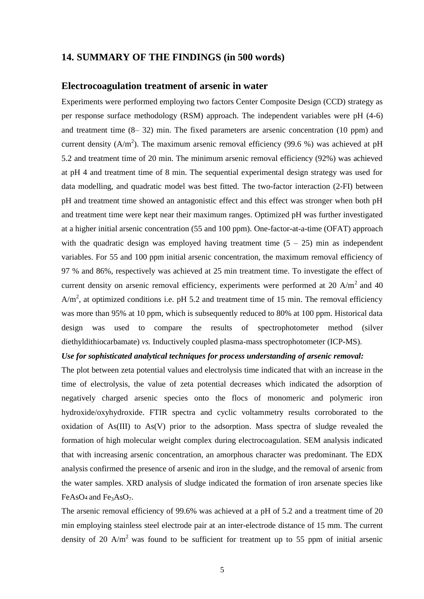### **14. SUMMARY OF THE FINDINGS (in 500 words)**

#### **Electrocoagulation treatment of arsenic in water**

Experiments were performed employing two factors Center Composite Design (CCD) strategy as per response surface methodology (RSM) approach. The independent variables were pH (4-6) and treatment time  $(8-32)$  min. The fixed parameters are arsenic concentration  $(10 \text{ ppm})$  and current density ( $A/m<sup>2</sup>$ ). The maximum arsenic removal efficiency (99.6 %) was achieved at pH 5.2 and treatment time of 20 min. The minimum arsenic removal efficiency (92%) was achieved at pH 4 and treatment time of 8 min. The sequential experimental design strategy was used for data modelling, and quadratic model was best fitted. The two-factor interaction (2-FI) between pH and treatment time showed an antagonistic effect and this effect was stronger when both pH and treatment time were kept near their maximum ranges. Optimized pH was further investigated at a higher initial arsenic concentration (55 and 100 ppm). One-factor-at-a-time (OFAT) approach with the quadratic design was employed having treatment time  $(5 - 25)$  min as independent variables. For 55 and 100 ppm initial arsenic concentration, the maximum removal efficiency of 97 % and 86%, respectively was achieved at 25 min treatment time. To investigate the effect of current density on arsenic removal efficiency, experiments were performed at 20 A/m<sup>2</sup> and 40  $A/m<sup>2</sup>$ , at optimized conditions i.e. pH 5.2 and treatment time of 15 min. The removal efficiency was more than 95% at 10 ppm, which is subsequently reduced to 80% at 100 ppm. Historical data design was used to compare the results of spectrophotometer method (silver diethyldithiocarbamate) *vs.* Inductively coupled plasma-mass spectrophotometer (ICP-MS).

#### *Use for sophisticated analytical techniques for process understanding of arsenic removal:*

The plot between zeta potential values and electrolysis time indicated that with an increase in the time of electrolysis, the value of zeta potential decreases which indicated the adsorption of negatively charged arsenic species onto the flocs of monomeric and polymeric iron hydroxide/oxyhydroxide. FTIR spectra and cyclic voltammetry results corroborated to the oxidation of As(III) to As(V) prior to the adsorption. Mass spectra of sludge revealed the formation of high molecular weight complex during electrocoagulation. SEM analysis indicated that with increasing arsenic concentration, an amorphous character was predominant. The EDX analysis confirmed the presence of arsenic and iron in the sludge, and the removal of arsenic from the water samples. XRD analysis of sludge indicated the formation of iron arsenate species like FeAsO<sub>4</sub> and Fe<sub>3</sub>AsO<sub>7</sub>.

The arsenic removal efficiency of 99.6% was achieved at a pH of 5.2 and a treatment time of 20 min employing stainless steel electrode pair at an inter-electrode distance of 15 mm. The current density of 20  $A/m^2$  was found to be sufficient for treatment up to 55 ppm of initial arsenic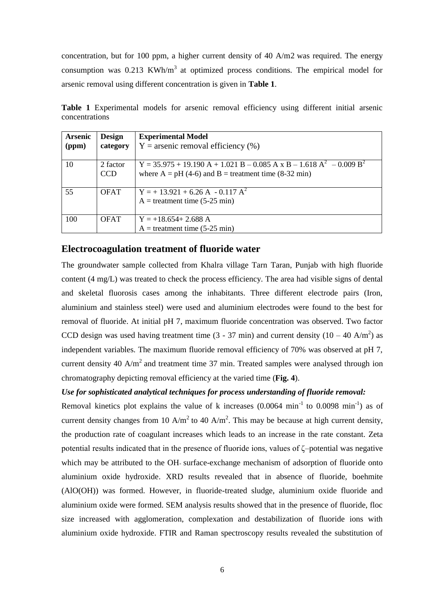concentration, but for 100 ppm, a higher current density of 40 A/m2 was required. The energy consumption was  $0.213$  KWh/m<sup>3</sup> at optimized process conditions. The empirical model for arsenic removal using different concentration is given in **Table 1**.

| <b>Arsenic</b><br>(ppm) | <b>Design</b><br>category | <b>Experimental Model</b><br>$Y =$ arsenic removal efficiency $(\%)$                                                              |
|-------------------------|---------------------------|-----------------------------------------------------------------------------------------------------------------------------------|
| 10                      | 2 factor<br><b>CCD</b>    | $Y = 35.975 + 19.190 A + 1.021 B - 0.085 A x B - 1.618 A2 - 0.009 B2$<br>where $A = pH (4-6)$ and $B = treatment time (8-32 min)$ |
| 55                      | <b>OFAT</b>               | $Y = +13.921 + 6.26 A - 0.117 A^2$<br>$A =$ treatment time (5-25 min)                                                             |
| 100                     | <b>OFAT</b>               | $Y = +18.654 + 2.688$ A<br>$A =$ treatment time (5-25 min)                                                                        |

Table 1 Experimental models for arsenic removal efficiency using different initial arsenic concentrations

### **Electrocoagulation treatment of fluoride water**

The groundwater sample collected from Khalra village Tarn Taran, Punjab with high fluoride content (4 mg/L) was treated to check the process efficiency. The area had visible signs of dental and skeletal fluorosis cases among the inhabitants. Three different electrode pairs (Iron, aluminium and stainless steel) were used and aluminium electrodes were found to the best for removal of fluoride. At initial pH 7, maximum fluoride concentration was observed. Two factor CCD design was used having treatment time (3 - 37 min) and current density (10 – 40 A/m<sup>2</sup>) as independent variables. The maximum fluoride removal efficiency of 70% was observed at pH 7, current density 40  $A/m^2$  and treatment time 37 min. Treated samples were analysed through ion chromatography depicting removal efficiency at the varied time (**Fig. 4**).

#### *Use for sophisticated analytical techniques for process understanding of fluoride removal:*

Removal kinetics plot explains the value of k increases  $(0.0064 \text{ min}^{-1}$  to  $0.0098 \text{ min}^{-1})$  as of current density changes from 10 A/m<sup>2</sup> to 40 A/m<sup>2</sup>. This may be because at high current density, the production rate of coagulant increases which leads to an increase in the rate constant. Zeta potential results indicated that in the presence of fluoride ions, values of ζ–potential was negative which may be attributed to the OH- surface-exchange mechanism of adsorption of fluoride onto aluminium oxide hydroxide. XRD results revealed that in absence of fluoride, boehmite (AlO(OH)) was formed. However, in fluoride-treated sludge, aluminium oxide fluoride and aluminium oxide were formed. SEM analysis results showed that in the presence of fluoride, floc size increased with agglomeration, complexation and destabilization of fluoride ions with aluminium oxide hydroxide. FTIR and Raman spectroscopy results revealed the substitution of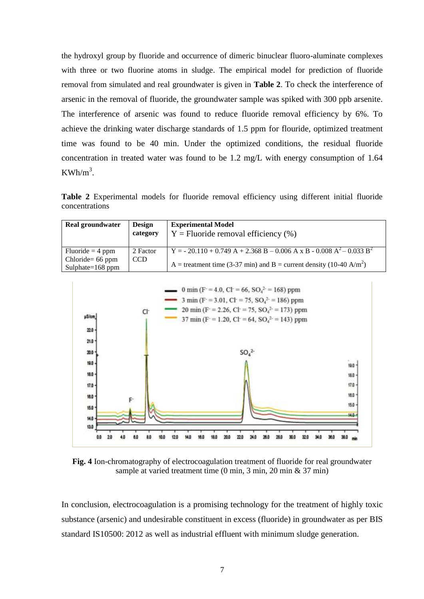the hydroxyl group by fluoride and occurrence of dimeric binuclear fluoro-aluminate complexes with three or two fluorine atoms in sludge. The empirical model for prediction of fluoride removal from simulated and real groundwater is given in **Table 2**. To check the interference of arsenic in the removal of fluoride, the groundwater sample was spiked with 300 ppb arsenite. The interference of arsenic was found to reduce fluoride removal efficiency by 6%. To achieve the drinking water discharge standards of 1.5 ppm for flouride, optimized treatment time was found to be 40 min. Under the optimized conditions, the residual fluoride concentration in treated water was found to be 1.2 mg/L with energy consumption of 1.64  $KWh/m<sup>3</sup>$ .

**Table 2** Experimental models for fluoride removal efficiency using different initial fluoride concentrations

| <b>Real groundwater</b>                    | <b>Design</b><br>category | <b>Experimental Model</b><br>$Y =$ Fluoride removal efficiency $(\%)$                        |
|--------------------------------------------|---------------------------|----------------------------------------------------------------------------------------------|
| $Fluoride = 4 ppm$                         | 2 Factor                  | Y = - 20.110 + 0.749 A + 2.368 B – 0.006 A x B - 0.008 A <sup>2</sup> – 0.033 B <sup>2</sup> |
| Chloride = $66$ ppm<br>Sulphate= $168$ ppm | <b>CCD</b>                | A = treatment time (3-37 min) and B = current density (10-40 A/m <sup>2</sup> )              |



**Fig. 4** Ion-chromatography of electrocoagulation treatment of fluoride for real groundwater sample at varied treatment time (0 min, 3 min, 20 min & 37 min)

In conclusion, electrocoagulation is a promising technology for the treatment of highly toxic substance (arsenic) and undesirable constituent in excess (fluoride) in groundwater as per BIS standard IS10500: 2012 as well as industrial effluent with minimum sludge generation.